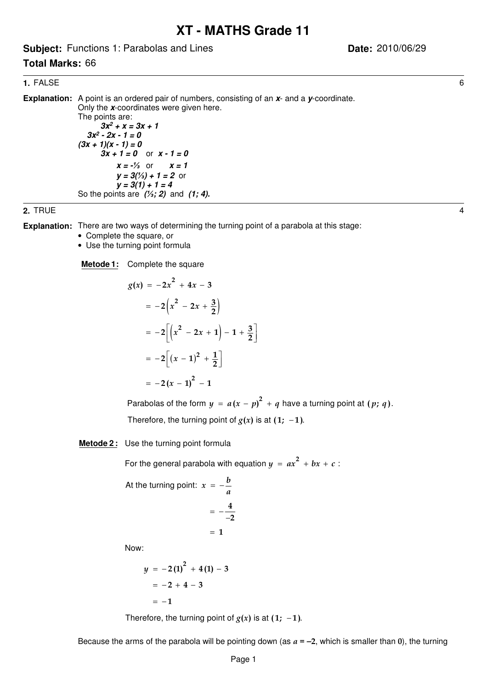# **XT - MATHS Grade 11**

**Subject:** Functions 1: Parabolas and Lines

# **Total Marks:** 66

**Date:** 2010/06/29

#### **1.** FALSE 6

**Explanation:** A point is an ordered pair of numbers, consisting of an x- and a y-coordinate. Only the **x**-coordinates were given here. The points are:  $3x^2 + x = 3x + 1$  **3x<sup>2</sup> - 2x - 1 = 0**  $(3x + 1)(x - 1) = 0$  $3x + 1 = 0$  or  $x - 1 = 0$  $x = -\frac{1}{3}$  or  $x = 1$  $y = 3/(1/3) + 1 = 2$  or  $y = 3(1) + 1 = 4$ So the points are **(; 2)** and **(1; 4).**

#### **2.** TRUE 4

**Explanation:** There are two ways of determining the turning point of a parabola at this stage:

- Complete the square, or
- Use the turning point formula

**Metode 1:** Complete the square

$$
g(x) = -2x2 + 4x - 3
$$
  
= -2(x<sup>2</sup> - 2x +  $\frac{3}{2}$ )  
= -2[(x<sup>2</sup> - 2x + 1) - 1 +  $\frac{3}{2}$ ]  
= -2[(x - 1)<sup>2</sup> +  $\frac{1}{2}$ ]  
= -2(x - 1)<sup>2</sup> - 1

Parabolas of the form  $y = a(x - p)^2 + q$  have a turning point at  $(p; q)$ . Therefore, the turning point of  $g(x)$  is at  $(1; -1)$ .

#### **Metode 2:** Use the turning point formula

For the general parabola with equation  $y = ax^2 + bx + c$  :

At the turning point: 
$$
x = -\frac{b}{a}
$$
  
=  $-\frac{4}{-2}$ 

$$
= 1
$$

Now:

$$
y = -2(1)2 + 4(1) - 3
$$
  
= -2 + 4 - 3  
= -1

Therefore, the turning point of  $g(x)$  is at  $(1; -1)$ .

Because the arms of the parabola will be pointing down (as  $a = -2$ , which is smaller than 0), the turning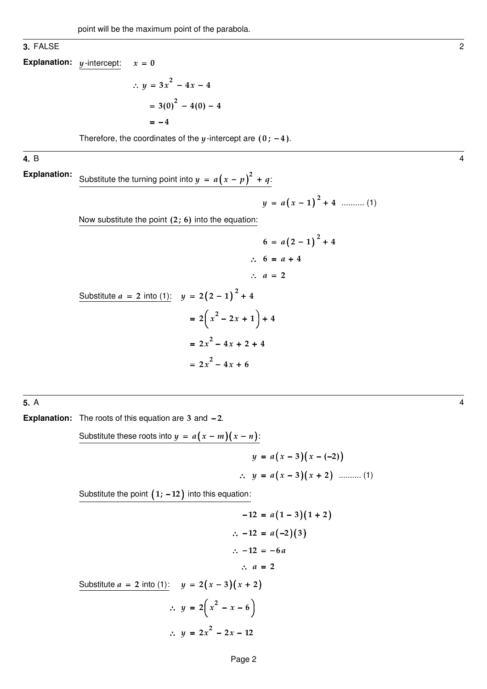#### **3.** FALSE 2

**Explanation:**  $y$ -intercept:  $x$  $= 0$ 

> $\therefore$   $y = 3x^2 - 4x - 4$  $=3(0)^{2}-4(0)-4$ 4 = −

Therefore, the coordinates of the  $y$ -intercept are  $(0; -4)$ .

#### **4.** B 4

Substitute the turning point into  $y = a(x - p)^2 + q$ : **Explanation:**

( ) .......... (1) 2 1 4 y a x = − +

Now substitute the point  $(2; 6)$  into the equation:

$$
6 = a(2 - 1)2 + 4
$$
  
\n
$$
\therefore 6 = a + 4
$$
  
\n
$$
\therefore a = 2
$$

Substitute 
$$
a = 2
$$
 into (1):  $y = 2(2 - 1)^2 + 4$   
=  $2(x^2 - 2x + 1) + 4$   
=  $2x^2 - 4x + 2 + 4$   
=  $2x^2 - 4x + 6$ 

**5.** A 4

**Explanation:** The roots of this equation are 3 and -2.

Substitute these roots into 
$$
y = a(x - m)(x - n)
$$
:  
\n
$$
y = a(x - 3)(x - (-2))
$$
\n
$$
\therefore y = a(x - 3)(x + 2) \quad \dots \dots \dots (1)
$$

Substitute the point  $(1; -12)$  into this equation:

$$
-12 = a(1-3)(1+2)
$$
\n
$$
\therefore -12 = a(-2)(3)
$$
\n
$$
\therefore -12 = -6a
$$
\n
$$
\therefore a = 2
$$
\nSubstitute  $a = 2$  into (1):  
\n
$$
y = 2(x-3)(x+2)
$$
\n
$$
\therefore y = 2(x^2 - x - 6)
$$
\n
$$
\therefore y = 2x^2 - 2x - 12
$$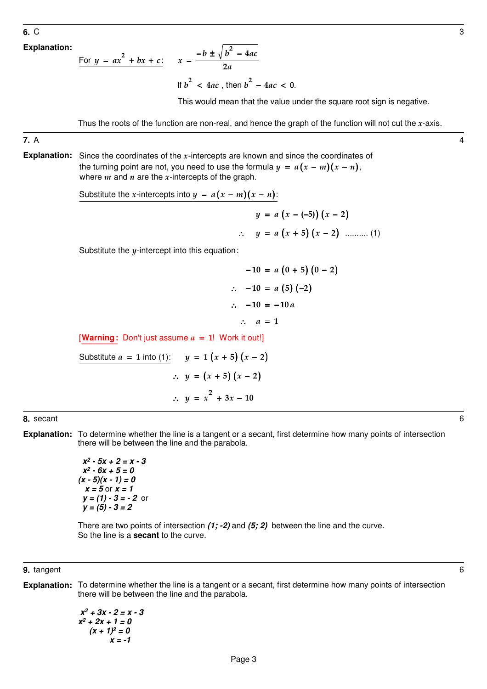**Explanation:**

For 
$$
y = ax^2 + bx + c
$$
:  $x = \frac{-b \pm \sqrt{b^2 - 4ac}}{2a}$ 

If  $b^2$  < 4*ac*, then  $b^2$  – 4*ac* < 0.

This would mean that the value under the square root sign is negative.

Thus the roots of the function are non-real, and hence the graph of the function will not cut the  $x$ -axis.

**7.** A 4

the turning point are not, you need to use the formula  $y = a(x - m)(x - n)$ , **Explanation:** Since the coordinates of the  $x$ -intercepts are known and since the coordinates of where  $m$  and  $n$  are the  $x$ -intercepts of the graph.

Substitute the x-intercepts into  $y = a(x - m)(x - n)$ :

( ) ( ) ( ) ( ) .......... (1) ( 5) 2 5 2 y a x x y a x x = − − − ∴ = + −

Substitute the  $y$ -intercept into this equation:

$$
-10 = a (0 + 5) (0 - 2)
$$
  
\n
$$
\therefore -10 = a (5) (-2)
$$
  
\n
$$
\therefore -10 = -10 a
$$
  
\n
$$
\therefore a = 1
$$

[Warning: Don't just assume  $a = 1!$  Work it out!]

 $a = 1$  into (1):  $y = 1(x + 5)(x - 2)$  $\therefore$   $y = (x + 5) (x - 2)$ Substitute  $a = 1$  into (1):  $\therefore y = x^2 + 3x - 10$ 

**8.** secant 6

**Explanation:** To determine whether the line is a tangent or a secant, first determine how many points of intersection there will be between the line and the parabola.

> **x<sup>2</sup> - 5x + 2 = x - 3 x<sup>2</sup> - 6x + 5 = 0**  $(x - 5)(x - 1) = 0$  $x = 5$  or  $x = 1$  **y = (1) - 3 = - 2** or  $y = (5) - 3 = 2$

There are two points of intersection **(1; -2)** and **(5; 2)** between the line and the curve. So the line is a **secant** to the curve.

#### **9.** tangent 6

**Explanation:** To determine whether the line is a tangent or a secant, first determine how many points of intersection there will be between the line and the parabola.

$$
x2 + 3x - 2 = x - 3
$$
  
x<sup>2</sup> + 2x + 1 = 0  
(x + 1)<sup>2</sup> = 0  
x = -1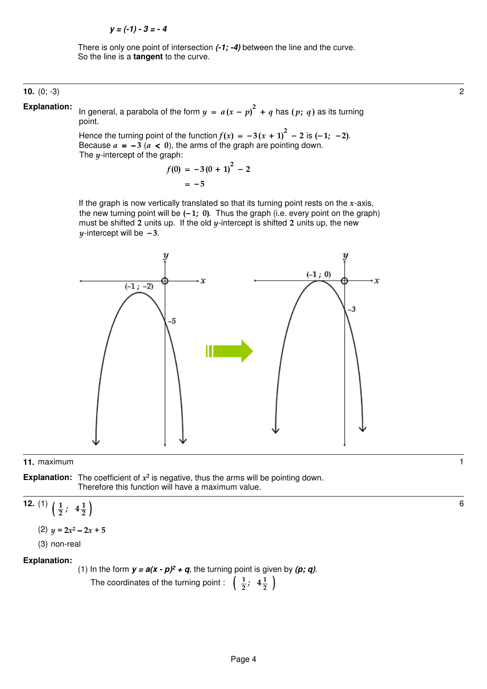There is only one point of intersection **(-1; -4)** between the line and the curve. So the line is a **tangent** to the curve.

## **10.** (0; -3) 2

**Explanation:**

In general, a parabola of the form  $y = a(x - p)^2 + q$  has  $(p; q)$  as its turning point.

Hence the turning point of the function  $f(x) = -3(x + 1)^2 - 2$  is  $(-1, -2)$ . Because  $a = -3$  ( $a < 0$ ), the arms of the graph are pointing down. The  $y$ -intercept of the graph:

$$
f(0) = -3(0 + 1)2 - 2
$$
  
= -5

If the graph is now vertically translated so that its turning point rests on the  $x$ -axis, the new turning point will be  $(-1; 0)$ . Thus the graph (i.e. every point on the graph) must be shifted 2 units up. If the old  $y$ -intercept is shifted 2 units up, the new  $y$ -intercept will be  $-3$ .



### **11.** maximum 1

**Explanation:** The coefficient of  $x^2$  is negative, thus the arms will be pointing down. Therefore this function will have a maximum value.

12. (1) 
$$
\left(\frac{1}{2}, 4\frac{1}{2}\right)
$$
  
(2)  $y = 2x^2 - 2x + 5$ 

(3) non-real

# **Explanation:**

(1) In the form  $y = a(x - p)^2 + q$ , the turning point is given by  $(p; q)$ .

The coordinates of the turning point :  $\left(\begin{array}{c} \frac{1}{2} \\ 2 \end{array}\right)$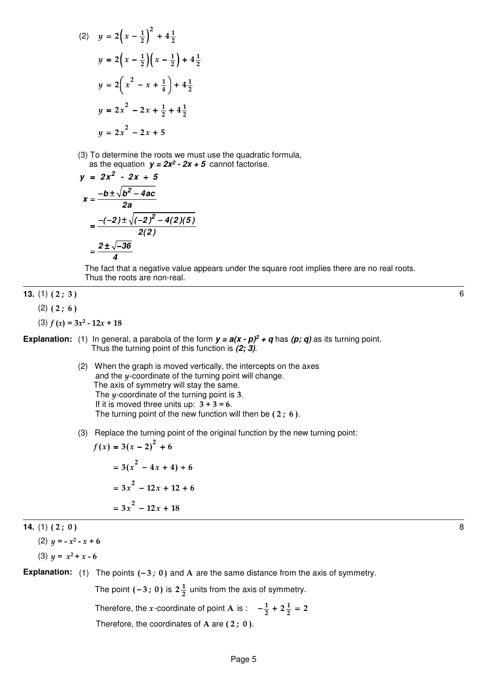2) 
$$
y = 2\left(x - \frac{1}{2}\right)^2 + 4\frac{1}{2}
$$
  
\n $y = 2\left(x - \frac{1}{2}\right)\left(x - \frac{1}{2}\right) + 4\frac{1}{2}$   
\n $y = 2\left(x^2 - x + \frac{1}{4}\right) + 4\frac{1}{2}$   
\n $y = 2x^2 - 2x + \frac{1}{2} + 4\frac{1}{2}$   
\n $y = 2x^2 - 2x + 5$ 

(3) To determine the roots we must use the quadratic formula, as the equation  $y = 2x^2 - 2x + 5$  cannot factorise.

$$
y = 2x^{2} - 2x + 5
$$
\n
$$
x = \frac{-b \pm \sqrt{b^{2} - 4ac}}{2a}
$$
\n
$$
= \frac{-(-2) \pm \sqrt{(-2)^{2} - 4(2)(5)}}{2(2)}
$$
\n
$$
= \frac{2 \pm \sqrt{-36}}{4}
$$

 The fact that a negative value appears under the square root implies there are no real roots. Thus the roots are non-real.

# **13.** (1) ( 2 ; 3 ) 6

 $(2)$   $(2; 6)$ 

 $(3) f (x) = 3x^2 - 12x + 18$ 

 $\overline{ }$ 

**Explanation:** (1) In general, a parabola of the form  $y = a(x - p)^2 + q$  has (p; q) as its turning point. Thus the turning point of this function is **(2; 3)**.

- (2) When the graph is moved vertically, the intercepts on the axes and the  $y$ -coordinate of the turning point will change. The axis of symmetry will stay the same. The  $y$ -coordinate of the turning point is 3. If it is moved three units up:  $3 + 3 = 6$ . The turning point of the new function will then be  $(2; 6)$ .
- (3) Replace the turning point of the original function by the new turning point:

$$
f(x) = 3(x - 2)2 + 6
$$
  
= 3(x<sup>2</sup> - 4x + 4) + 6  
= 3x<sup>2</sup> - 12x + 12 + 6  
= 3x<sup>2</sup> - 12x + 18

**14.** (1) ( 2 ; 0 ) 8

(2) 
$$
y = -x^2 - x + 6
$$

$$
(3) \, y = x^2 + x - 6
$$

**Explanation:** (1) The points  $(-3; 0)$  and A are the same distance from the axis of symmetry.

The point  $(-3; 0)$  is  $2\frac{1}{2}$  units from the axis of symmetry.

Therefore, the *x*-coordinate of point **A** is :  $-\frac{1}{2} + 2\frac{1}{2} = 2$ 

Therefore, the coordinates of A are  $(2; 0)$ .

Page 5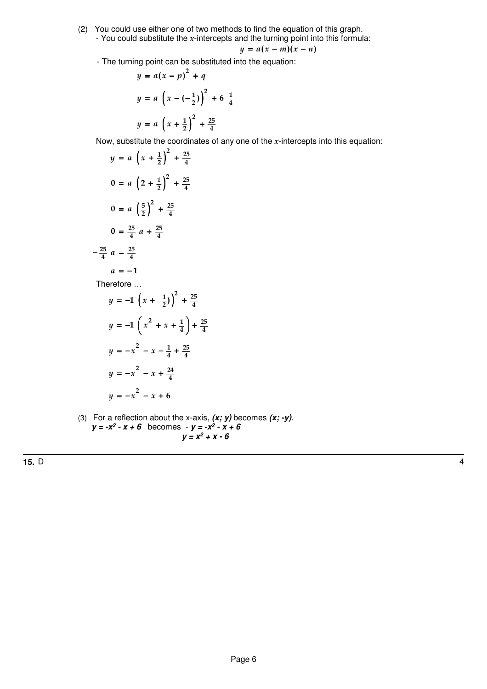(2) You could use either one of two methods to find the equation of this graph. - You could substitute the  $x$ -intercepts and the turning point into this formula:

$$
y = a(x - m)(x - n)
$$

- The turning point can be substituted into the equation:  $\overline{2}$ 

$$
y = a(x - p)^{2} + q
$$
  

$$
y = a \left(x - \left(-\frac{1}{2}\right)\right)^{2} + 6 \frac{1}{4}
$$
  

$$
y = a \left(x + \frac{1}{2}\right)^{2} + \frac{25}{4}
$$

Now, substitute the coordinates of any one of the  $x$ -intercepts into this equation:

$$
y = a \left(x + \frac{1}{2}\right)^2 + \frac{25}{4}
$$
  
\n
$$
0 = a \left(2 + \frac{1}{2}\right)^2 + \frac{25}{4}
$$
  
\n
$$
0 = a \left(\frac{5}{2}\right)^2 + \frac{25}{4}
$$
  
\n
$$
0 = \frac{25}{4}a + \frac{25}{4}
$$
  
\n
$$
a = -1
$$
  
\nTherefore ...  
\n
$$
y = -1 \left(x + \frac{1}{2}\right)^2 + \frac{25}{4}
$$

$$
y = -1\left(x + \frac{1}{2}\right) + \frac{25}{4}
$$
  

$$
y = -1\left(x^2 + x + \frac{1}{4}\right) + \frac{25}{4}
$$
  

$$
y = -x^2 - x - \frac{1}{4} + \frac{25}{4}
$$
  

$$
y = -x^2 - x + \frac{24}{4}
$$
  

$$
y = -x^2 - x + 6
$$

(3) For a reflection about the x-axis, **(x; y)** becomes **(x; -y)**.  $y = -x^2 - x + 6$  becomes  $-y = -x^2 - x + 6$  $y = x^2 + x - 6$ 

**15.** D 4